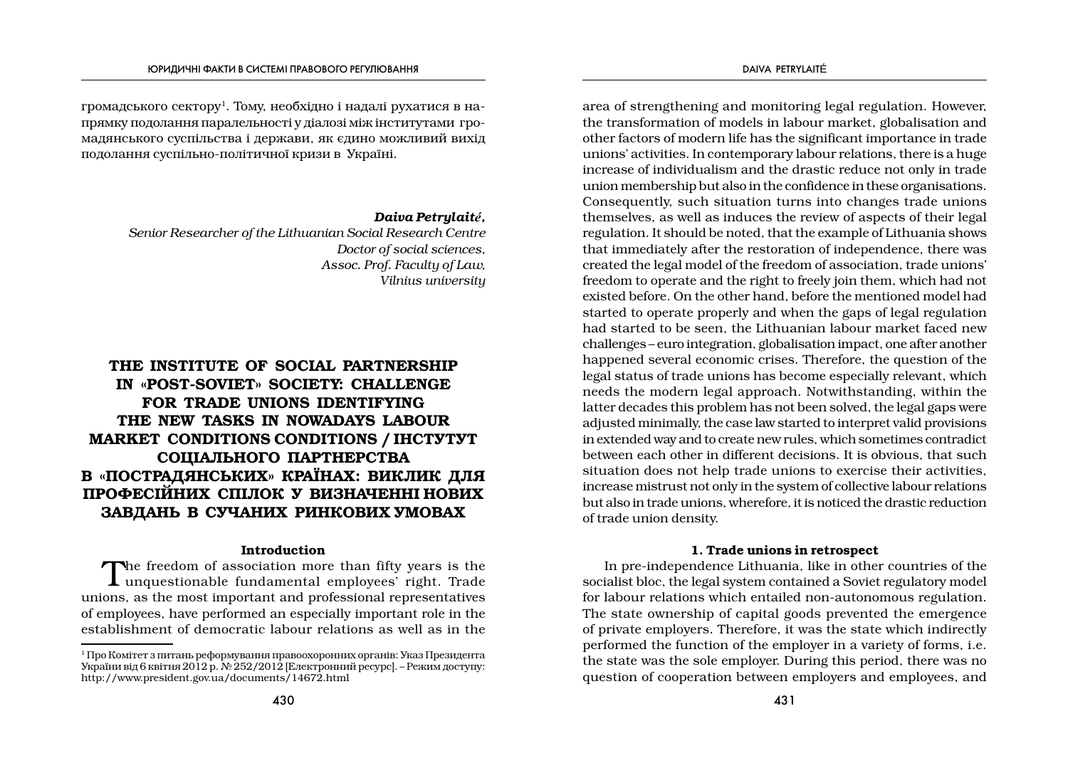громадського сектору<sup>1</sup>. Тому, необхідно і надалі рухатися в напрямку подолання паралельності у діалозі між інститутами громалянського суспільства і держави, як єдино можливий вихіл подолання суспільно-політичної кризи в Україні.

## Daiva Petrylaité,

Senior Researcher of the Lithuanian Social Research Centre Doctor of social sciences. Assoc. Prof. Facultu of Law. Vilnius university

# THE INSTITUTE OF SOCIAL PARTNERSHIP IN «POST-SOVIET» SOCIETY: CHALLENGE FOR TRADE UNIONS IDENTIFYING THE NEW TASKS IN NOWADAYS LABOUR **MARKET CONDITIONS CONDITIONS / IHCTYTYT** СОЦІАЛЬНОГО ПАРТНЕРСТВА В «ПОСТРАДЯНСЬКИХ» КРАЇНАХ: ВИКЛИК ДЛЯ ПРОФЕСІЙНИХ СПІЛОК У ВИЗНАЧЕННІ НОВИХ ЗАВДАНЬ В СУЧАНИХ РИНКОВИХ УМОВАХ

## Introduction

The freedom of association more than fifty years is the  $\perp$  unquestionable fundamental employees' right. Trade unions, as the most important and professional representatives of employees, have performed an especially important role in the establishment of democratic labour relations as well as in the

area of strengthening and monitoring legal regulation. However, the transformation of models in labour market, globalisation and other factors of modern life has the significant importance in trade unions' activities. In contemporary labour relations, there is a huge increase of individualism and the drastic reduce not only in trade union membership but also in the confidence in these organisations. Consequently, such situation turns into changes trade unions themselves, as well as induces the review of aspects of their legal regulation. It should be noted, that the example of Lithuania shows that immediately after the restoration of independence, there was created the legal model of the freedom of association, trade unions' freedom to operate and the right to freely join them, which had not existed before. On the other hand, before the mentioned model had started to operate properly and when the gaps of legal regulation had started to be seen, the Lithuanian labour market faced new challenges – euro integration, globalisation impact, one after another happened several economic crises. Therefore, the question of the legal status of trade unions has become especially relevant, which needs the modern legal approach. Notwithstanding, within the latter decades this problem has not been solved, the legal gaps were adjusted minimally, the case law started to interpret valid provisions in extended way and to create new rules, which sometimes contradict between each other in different decisions. It is obvious, that such situation does not help trade unions to exercise their activities. increase mistrust not only in the system of collective labour relations but also in trade unions, wherefore, it is noticed the drastic reduction of trade union density.

## 1. Trade unions in retrospect

In pre-independence Lithuania, like in other countries of the socialist bloc, the legal system contained a Soviet regulatory model for labour relations which entailed non-autonomous regulation. The state ownership of capital goods prevented the emergence of private employers. Therefore, it was the state which indirectly performed the function of the employer in a variety of forms, i.e. the state was the sole employer. During this period, there was no question of cooperation between employers and employees, and

<sup>1</sup> Про Комітет з питань реформування правоохоронних органів: Указ Президента України від 6 квітня 2012 р. № 252/2012 [Електронний ресурс]. – Режим доступу: http://www.president.gov.ua/documents/14672.html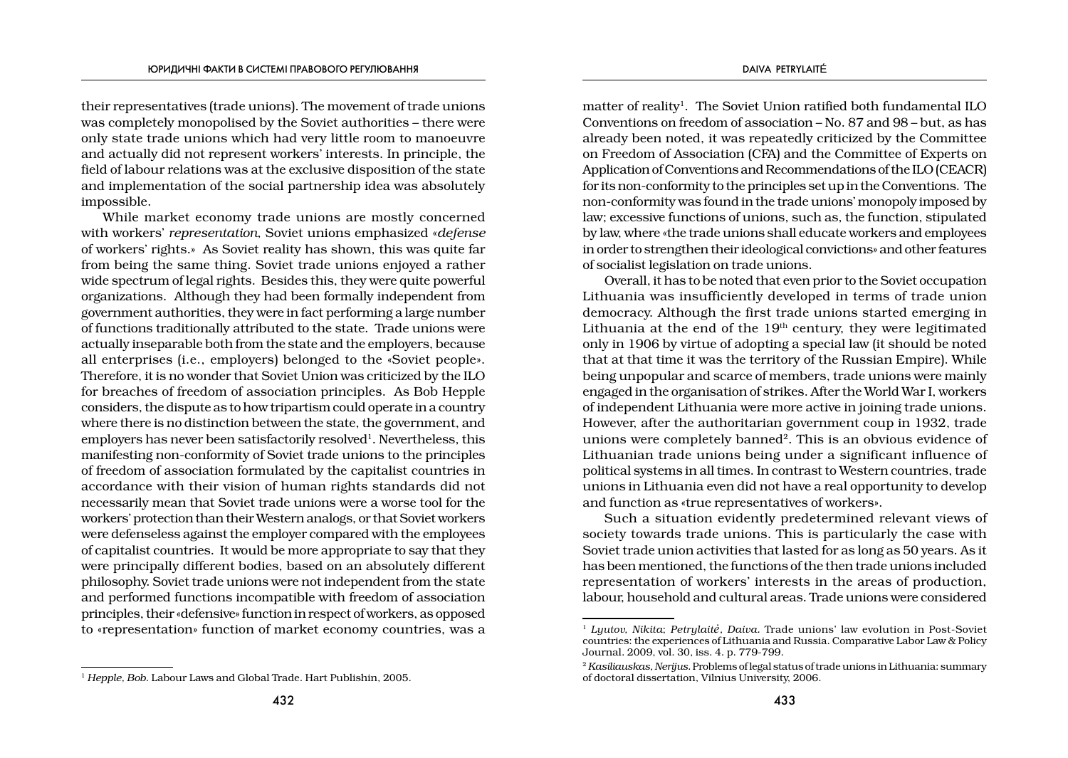their representatives (trade unions). The movement of trade unions was completely monopolised by the Soviet authorities – there were only state trade unions which had very little room to manoeuvre and actually did not represent workers' interests. In principle, the field of labour relations was at the exclusive disposition of the state and implementation of the social partnership idea was absolutely impossible.

While market economy trade unions are mostly concerned with workers' *representation*, Soviet unions emphasized «*defense*  of workers' rights.» As Soviet reality has shown, this was quite far from being the same thing. Soviet trade unions enjoyed a rather wide spectrum of legal rights. Besides this, they were quite powerful organizations. Although they had been formally independent from government authorities, they were in fact performing a large number of functions traditionally attributed to the state. Trade unions were actually inseparable both from the state and the employers, because all enterprises (i.e., employers) belonged to the «Soviet people». Therefore, it is no wonder that Soviet Union was criticized by the ILO for breaches of freedom of association principles. As Bob Hepple considers, the dispute as to how tripartism could operate in a country where there is no distinction between the state, the government, and employers has never been satisfactorily resolved<sup>1</sup>. Nevertheless, this manifesting non-conformity of Soviet trade unions to the principles of freedom of association formulated by the capitalist countries in accordance with their vision of human rights standards did not necessarily mean that Soviet trade unions were a worse tool for the workers' protection than their Western analogs, or that Soviet workers were defenseless against the employer compared with the employees of capitalist countries. It would be more appropriate to say that they were principally different bodies, based on an absolutely different philosophy. Soviet trade unions were not independent from the state and performed functions incompatible with freedom of association principles, their «defensive» function in respect of workers, as opposed to «representation» function of market economy countries, was a matter of reality<sup>1</sup>. The Soviet Union ratified both fundamental ILO Conventions on freedom of association – No. 87 and 98 – but, as has already been noted, it was repeatedly criticized by the Committee on Freedom of Association (CFA) and the Committee of Experts on Application of Conventions and Recommendations of the ILO (CEACR) for its non-conformity to the principles set up in the Conventions. The non-conformity was found in the trade unions' monopoly imposed by law; excessive functions of unions, such as, the function, stipulated by law, where «the trade unions shall educate workers and employees in order to strengthen their ideological convictions» and other features of socialist legislation on trade unions.

Overall, it has to be noted that even prior to the Soviet occupation Lithuania was insufficiently developed in terms of trade union democracy. Although the first trade unions started emerging in Lithuania at the end of the  $19<sup>th</sup>$  century, they were legitimated only in 1906 by virtue of adopting a special law (it should be noted that at that time it was the territory of the Russian Empire). While being unpopular and scarce of members, trade unions were mainly engaged in the organisation of strikes. After the World War I, workers of independent Lithuania were more active in joining trade unions. However, after the authoritarian government coup in 1932, trade unions were completely banned<sup>2</sup>. This is an obvious evidence of Lithuanian trade unions being under a significant influence of political systems in all times. In contrast to Western countries, trade unions in Lithuania even did not have a real opportunity to develop and function as «true representatives of workers».

Such a situation evidently predetermined relevant views of society towards trade unions. This is particularly the case with Soviet trade union activities that lasted for as long as 50 years. As it has been mentioned, the functions of the then trade unions included representation of workers' interests in the areas of production, labour, household and cultural areas. Trade unions were considered

<sup>1</sup> *Hepple, Bob*. Labour Laws and Global Trade. Hart Publishin, 2005.

<sup>1</sup> *Lyutov, Nikita*; *Petrylaitė, Daiva.* Trade unions' law evolution in Post-Soviet countries: the experiences of Lithuania and Russia. Comparative Labor Law & Policy Journal. 2009, vol. 30, iss. 4. p. 779-799.

<sup>2</sup> *Kasiliauskas, Nerijus.* Problems of legal status of trade unions in Lithuania: summary of doctoral dissertation, Vilnius University, 2006.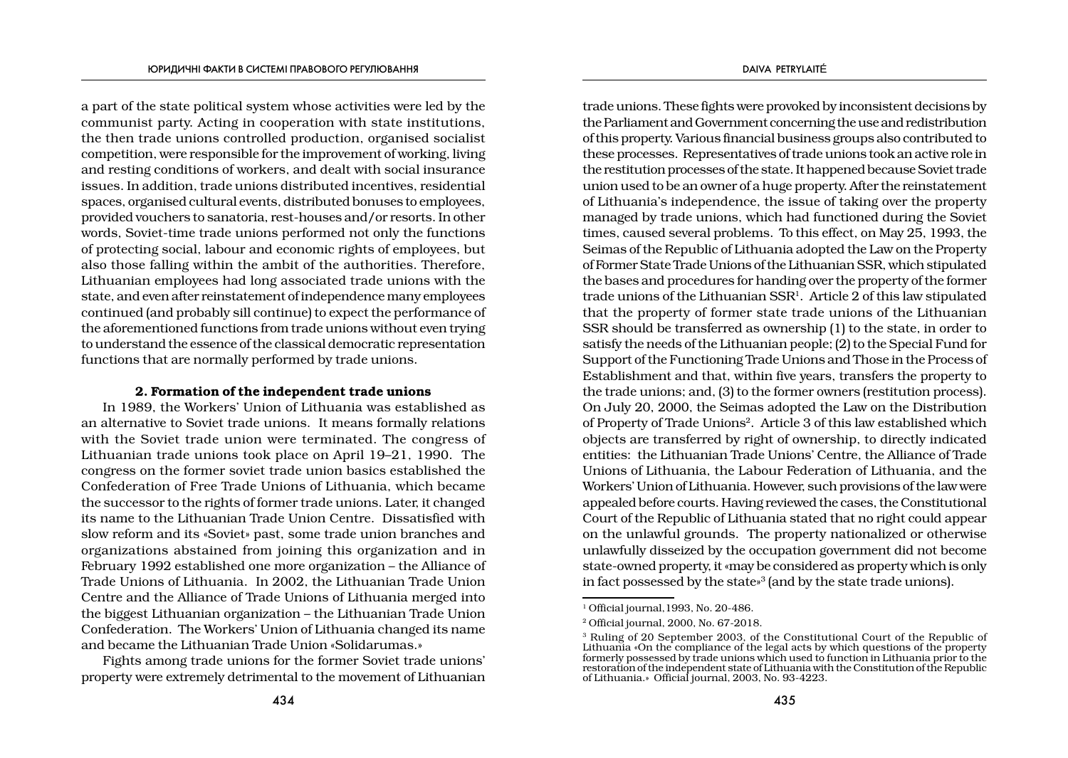a part of the state political system whose activities were led by the communist party. Acting in cooperation with state institutions, the then trade unions controlled production, organised socialist competition, were responsible for the improvement of working, living and resting conditions of workers, and dealt with social insurance issues. In addition, trade unions distributed incentives, residential spaces, organised cultural events, distributed bonuses to employees, provided vouchers to sanatoria, rest-houses and/or resorts. In other words, Soviet-time trade unions performed not only the functions of protecting social, labour and economic rights of employees, but also those falling within the ambit of the authorities. Therefore, Lithuanian employees had long associated trade unions with the state, and even after reinstatement of independence many employees continued (and probably sill continue) to expect the performance of the aforementioned functions from trade unions without even trying to understand the essence of the classical democratic representation functions that are normally performed by trade unions.

## 2. Formation of the independent trade unions

In 1989, the Workers' Union of Lithuania was established as an alternative to Soviet trade unions. It means formally relations with the Soviet trade union were terminated. The congress of Lithuanian trade unions took place on April 19–21, 1990. The congress on the former soviet trade union basics established the Confederation of Free Trade Unions of Lithuania, which became the successor to the rights of former trade unions. Later, it changed its name to the Lithuanian Trade Union Centre. Dissatisfied with slow reform and its «Soviet» past, some trade union branches and organizations abstained from joining this organization and in February 1992 established one more organization – the Alliance of Trade Unions of Lithuania. In 2002, the Lithuanian Trade Union Centre and the Alliance of Trade Unions of Lithuania merged into the biggest Lithuanian organization – the Lithuanian Trade Union Confederation. The Workers' Union of Lithuania changed its name and became the Lithuanian Trade Union «Solidarumas.»

Fights among trade unions for the former Soviet trade unions' property were extremely detrimental to the movement of Lithuanian

trade unions. These fights were provoked by inconsistent decisions by the Parliament and Government concerning the use and redistribution of this property. Various financial business groups also contributed to these processes. Representatives of trade unions took an active role in the restitution processes of the state. It happened because Soviet trade union used to be an owner of a huge property. After the reinstatement of Lithuania's independence, the issue of taking over the property managed by trade unions, which had functioned during the Soviet times, caused several problems. To this effect, on May 25, 1993, the Seimas of the Republic of Lithuania adopted the Law on the Property of Former State Trade Unions of the Lithuanian SSR, which stipulated the bases and procedures for handing over the property of the former trade unions of the Lithuanian SSR<sup>1</sup>. Article 2 of this law stipulated that the property of former state trade unions of the Lithuanian SSR should be transferred as ownership (1) to the state, in order to satisfy the needs of the Lithuanian people; (2) to the Special Fund for Support of the Functioning Trade Unions and Those in the Process of Establishment and that, within five years, transfers the property to the trade unions; and, (3) to the former owners (restitution process). On July 20, 2000, the Seimas adopted the Law on the Distribution of Property of Trade Unions2. Article 3 of this law established which objects are transferred by right of ownership, to directly indicated entities: the Lithuanian Trade Unions' Centre, the Alliance of Trade Unions of Lithuania, the Labour Federation of Lithuania, and the Workers' Union of Lithuania. However, such provisions of the law were appealed before courts. Having reviewed the cases, the Constitutional Court of the Republic of Lithuania stated that no right could appear on the unlawful grounds. The property nationalized or otherwise unlawfully disseized by the occupation government did not become state-owned property, it «may be considered as property which is only in fact possessed by the state»3 (and by the state trade unions).

<sup>&</sup>lt;sup>1</sup> Official journal, 1993, No. 20-486.

<sup>2</sup> Official journal, 2000, No. 67-2018.

<sup>3</sup> Ruling of 20 September 2003, of the Constitutional Court of the Republic of Lithuania «On the compliance of the legal acts by which questions of the property formerly possessed by trade unions which used to function in Lithuania prior to the restoration of the independent state of Lithuania with the Constitution of the Republic of Lithuania.» Official journal, 2003, No. 93-4223.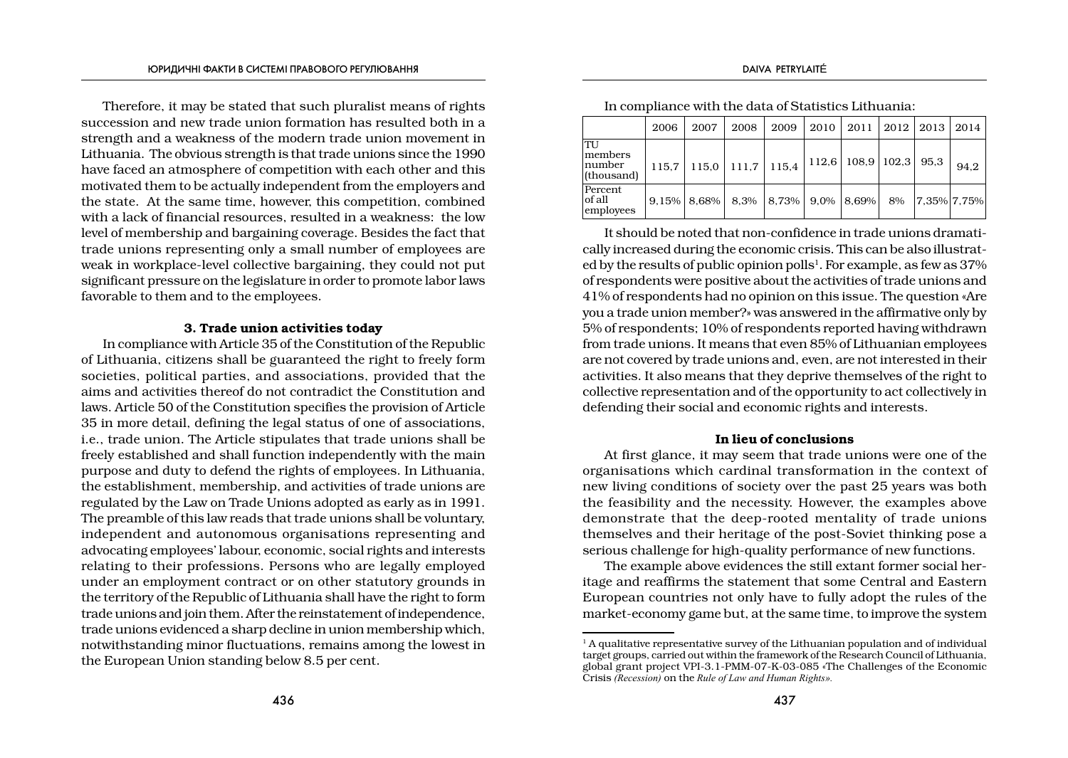Therefore, it may be stated that such pluralist means of rights succession and new trade union formation has resulted both in a strength and a weakness of the modern trade union movement in Lithuania. The obvious strength is that trade unions since the 1990 have faced an atmosphere of competition with each other and this motivated them to be actually independent from the employers and the state. At the same time, however, this competition, combined with a lack of financial resources, resulted in a weakness: the low level of membership and bargaining coverage. Besides the fact that trade unions representing only a small number of employees are weak in workplace-level collective bargaining, they could not put significant pressure on the legislature in order to promote labor laws favorable to them and to the employees.

## 3. Trade union activities today

In compliance with Article 35 of the Constitution of the Republic of Lithuania, citizens shall be guaranteed the right to freely form societies, political parties, and associations, provided that the aims and activities thereof do not contradict the Constitution and laws. Article 50 of the Constitution specifies the provision of Article 35 in more detail, defining the legal status of one of associations, i.e., trade union. The Article stipulates that trade unions shall be freely established and shall function independently with the main purpose and duty to defend the rights of employees. In Lithuania, the establishment, membership, and activities of trade unions are regulated by the Law on Trade Unions adopted as early as in 1991. The preamble of this law reads that trade unions shall be voluntary, independent and autonomous organisations representing and advocating employees' labour, economic, social rights and interests relating to their professions. Persons who are legally employed under an employment contract or on other statutory grounds in the territory of the Republic of Lithuania shall have the right to form trade unions and join them. After the reinstatement of independence, trade unions evidenced a sharp decline in union membership which, notwithstanding minor fluctuations, remains among the lowest in the European Union standing below 8.5 per cent.

|                                           | 2006  | 2007             | 2008  | 2009  | 2010    | 2011            | 2012 | 2013                         | 2014 |
|-------------------------------------------|-------|------------------|-------|-------|---------|-----------------|------|------------------------------|------|
| 'TU<br>lmembers<br> number<br> (thousand) | 115.7 | 115.0            | 111,7 | 115.4 | 112,6   | $108.9$   102.3 |      | 95.3                         | 94.2 |
| Percent<br>lof all<br>employees           |       | $9.15\%$   8.68% | 8.3%  | 8.73% | $9.0\%$ | 8,69%           | 8%   | $\left 7.35\% \right 7.75\%$ |      |

In compliance with the data of Statistics Lithuania:

It should be noted that non-confidence in trade unions dramatically increased during the economic crisis. This can be also illustrated by the results of public opinion polls<sup>1</sup>. For example, as few as  $37\%$ of respondents were positive about the activities of trade unions and 41% of respondents had no opinion on this issue. The question «Are you a trade union member?» was answered in the affirmative only by 5% of respondents; 10% of respondents reported having withdrawn from trade unions. It means that even 85% of Lithuanian employees are not covered by trade unions and, even, are not interested in their activities. It also means that they deprive themselves of the right to collective representation and of the opportunity to act collectively in defending their social and economic rights and interests.

## In lieu of conclusions

At first glance, it may seem that trade unions were one of the organisations which cardinal transformation in the context of new living conditions of society over the past 25 years was both the feasibility and the necessity. However, the examples above demonstrate that the deep-rooted mentality of trade unions themselves and their heritage of the post-Soviet thinking pose a serious challenge for high-quality performance of new functions.

The example above evidences the still extant former social heritage and reaffirms the statement that some Central and Eastern European countries not only have to fully adopt the rules of the market-economy game but, at the same time, to improve the system

 $<sup>1</sup>$  A qualitative representative survey of the Lithuanian population and of individual</sup> target groups, carried out within the framework of the Research Council of Lithuania, global grant project VPI-3.1-РMM-07-K-03-085 «The Challenges of the Economic Crisis *(Recession)* on the *Rule of Law and Human Rights».*